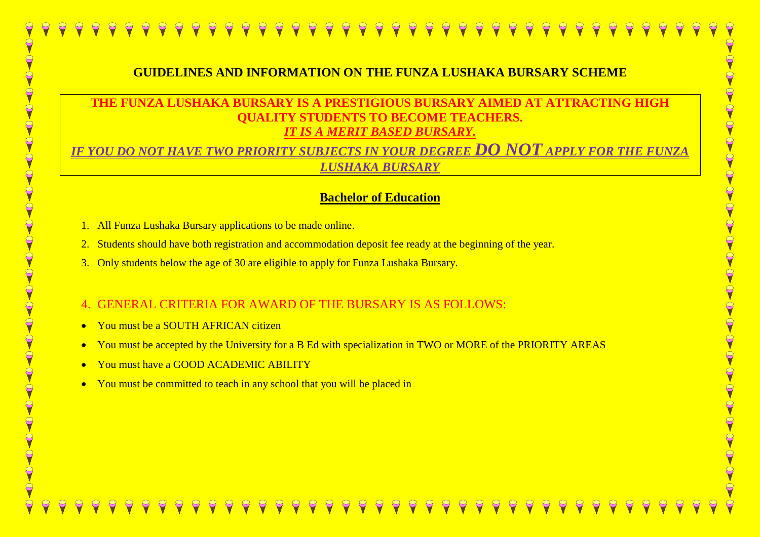#### **GUIDELINES AND INFORMATION ON THE FUNZA LUSHAKA BURSARY SCHEME**

#### **THE FUNZA LUSHAKA BURSARY IS A PRESTIGIOUS BURSARY AIMED AT ATTRACTING HIGH UDENTS TO BECOME TEACHERS.** *IT IS A MERIT BASED BURSARY.*

*IF YOU DO NOT HAVE TWO PRIORITY SUBJECTS IN YOUR DEGREE DO NOT APPLY FOR THE FUNZA LUSHAKA BURSARY*

#### **Bachelor of Education**

- 1. All Funza Lushaka Bursary applications to be made online.
- 2. Students should have both registration and accommodation deposit fee ready at the beginning of the year.
- 3. Only students below the age of 30 are eligible to apply for Funza Lushaka Bursary.

#### 4. GENERAL CRITERIA FOR AWARD OF THE BURSARY IS AS FOLLOWS:

- You must be a SOUTH AFRICAN citizen
- You must be accepted by the University for a B Ed with specialization in TWO or MORE of the PRIORITY AREAS
- You must have a GOOD ACADEMIC ABILITY
- You must be committed to teach in any school that you will be placed in

## O<br>Q  $\Theta$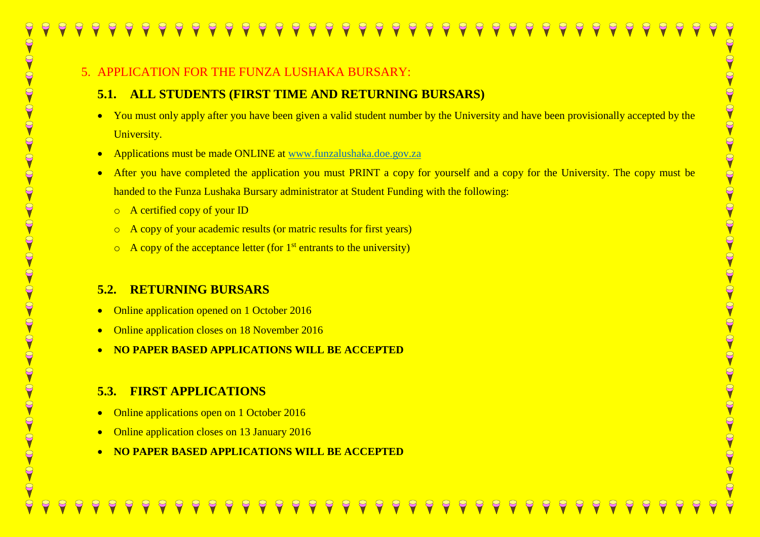#### 5. APPLICATION FOR THE FUNZA LUSHAKA BURSARY:

#### **5.1. ALL STUDENTS (FIRST TIME AND RETURNING BURSARS)**

- You must only apply after you have been given a valid student number by the University and have been provisionally accepted by the University.
- Applications must be made ONLINE at [www.funzalushaka.doe.gov.za](http://www.funzalushaka.doe.gov.za/)
- After you have completed the application you must PRINT a copy for yourself and a copy for the University. The copy must be handed to the Funza Lushaka Bursary administrator at Student Funding with the following:
	- o A certified copy of your ID
	- o A copy of your academic results (or matric results for first years)
	- $\circ$  A copy of the acceptance letter (for 1<sup>st</sup> entrants to the university)

#### **5.2. RETURNING BURSARS**

- Online application opened on 1 October 2016
- Online application closes on 18 November 2016
- **NO PAPER BASED APPLICATIONS WILL BE ACCEPTED**

### **5.3. FIRST APPLICATIONS**

- Online applications open on 1 October 2016
- Online application closes on 13 January 2016
- **NO PAPER BASED APPLICATIONS WILL BE ACCEPTED**

#### 9  $\Theta$